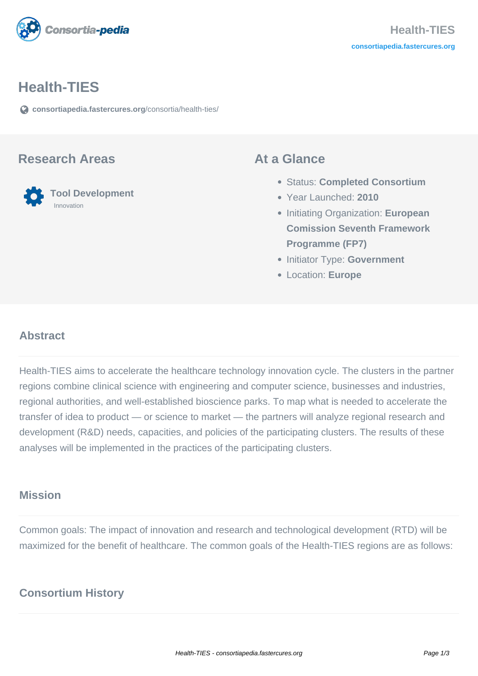

#### **Health-TIES**

**[consortiapedia.fastercures.org](https://consortiapedia.fastercures.org/consortia/health-ties/)**[/consortia/health-ties/](https://consortiapedia.fastercures.org/consortia/health-ties/)

#### **Research Areas**

#### **Tool Development** Innovation

#### **At a Glance**

- Status: **Completed Consortium**
- Year Launched: **2010**
- **Initiating Organization: European Comission Seventh Framework Programme (FP7)**
- **Initiator Type: Government**
- Location: **Europe**

#### $\overline{a}$ **Abstract**

Health-TIES aims to accelerate the healthcare technology innovation cycle. The clusters in the partner regions combine clinical science with engineering and computer science, businesses and industries, regional authorities, and well-established bioscience parks. To map what is needed to accelerate the transfer of idea to product — or science to market — the partners will analyze regional research and development (R&D) needs, capacities, and policies of the participating clusters. The results of these analyses will be implemented in the practices of the participating clusters.

#### **Mission**

Common goals: The impact of innovation and research and technological development (RTD) will be maximized for the benefit of healthcare. The common goals of the Health-TIES regions are as follows:

## **Consortium History**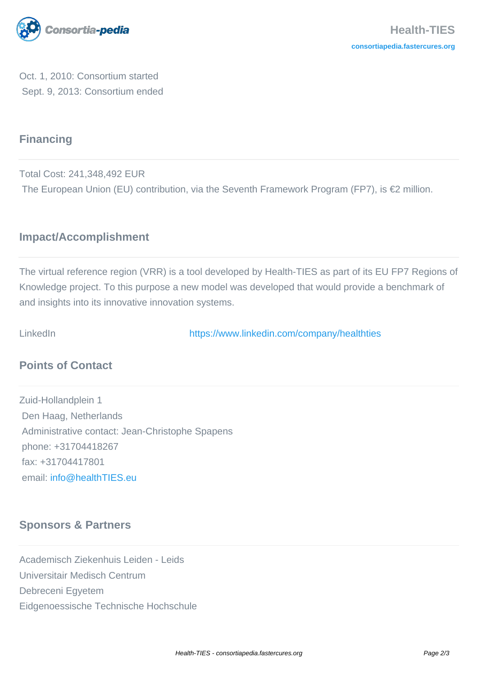

Oct. 1, 2010: Consortium started Sept. 9, 2013: Consortium ended

# **Financing**

Total Cost: 241,348,492 EUR The European Union (EU) contribution, via the Seventh Framework Program (FP7), is €2 million.

### **Impact/Accomplishment**

The virtual reference region (VRR) is a tool developed by Health-TIES as part of its EU FP7 Regions of Knowledge project. To this purpose a new model was developed that would provide a benchmark of and insights into its innovative innovation systems.

LinkedIn <https://www.linkedin.com/company/healthties>

## **Points of Contact**

Zuid-Hollandplein 1 Den Haag, Netherlands Administrative contact: Jean-Christophe Spapens phone: +31704418267 fax: +31704417801 email: [info@healthTIES.eu](mailto:info@healthTIES.eu)

## **Sponsors & Partners**

Academisch Ziekenhuis Leiden - Leids Universitair Medisch Centrum Debreceni Egyetem Eidgenoessische Technische Hochschule